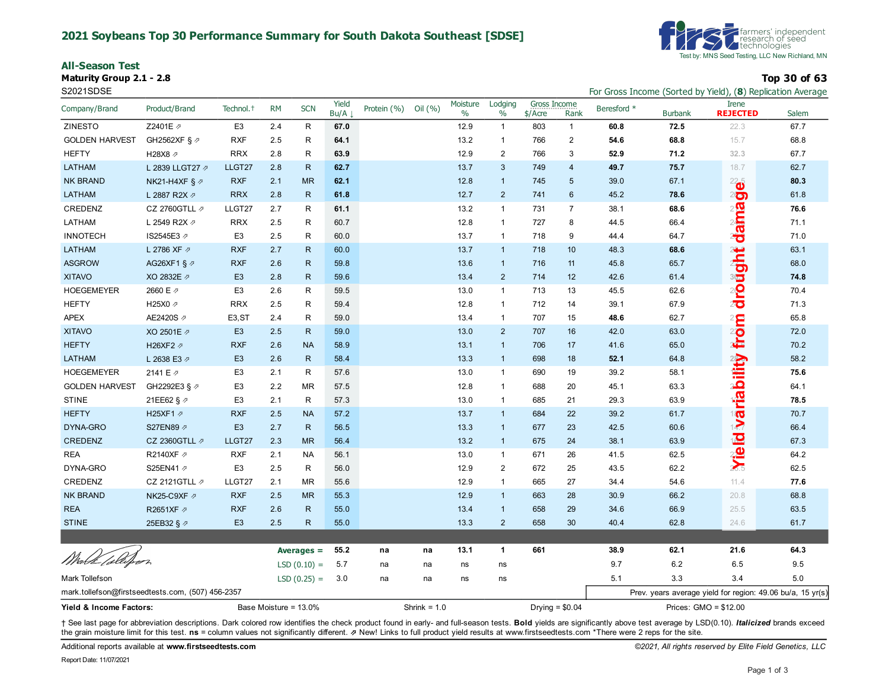#### **2021 Soybeans Top 30 Performance Summary for South Dakota Southeast [SDSE]**

**All-Season Test**

**Maturity Group 2.1 - 2.8 Top 30 of 63**



S2021SDSE For Gross Income (Sorted by Yield), (**8**) Replication Average

| Company/Brand                                     | Product/Brand             | Technol. <sup>+</sup> | <b>RM</b> | <b>SCN</b>    | Yield<br>Bu/A | Protein (%) | Oil (%)        | Moisture<br>$\%$ | Lodging<br>$\%$ | Gross Income<br>\$/Acre | Rank             | Beresford * | <b>Burbank</b> | <b>Irene</b><br><b>REJECTED</b>                            | Salem |
|---------------------------------------------------|---------------------------|-----------------------|-----------|---------------|---------------|-------------|----------------|------------------|-----------------|-------------------------|------------------|-------------|----------------|------------------------------------------------------------|-------|
| <b>ZINESTO</b>                                    | Z2401E 2                  | E <sub>3</sub>        | 2.4       | R             | 67.0          |             |                | 12.9             | $\mathbf{1}$    | 803                     | $\mathbf{1}$     | 60.8        | 72.5           | 22.3                                                       | 67.7  |
| <b>GOLDEN HARVEST</b>                             | GH2562XF § 2              | <b>RXF</b>            | 2.5       | R             | 64.1          |             |                | 13.2             | $\mathbf{1}$    | 766                     | $\mathbf{2}$     | 54.6        | 68.8           | 15.7                                                       | 68.8  |
| <b>HEFTY</b>                                      | H28X8 2                   | <b>RRX</b>            | 2.8       | $\mathsf{R}$  | 63.9          |             |                | 12.9             | $\overline{2}$  | 766                     | 3                | 52.9        | 71.2           | 32.3                                                       | 67.7  |
| <b>LATHAM</b>                                     | L 2839 LLGT27 2           | LLGT27                | 2.8       | $\mathsf{R}$  | 62.7          |             |                | 13.7             | $\mathbf{3}$    | 749                     | 4                | 49.7        | 75.7           | 18.7                                                       | 62.7  |
| <b>NK BRAND</b>                                   | NK21-H4XF § $\varnothing$ | <b>RXF</b>            | 2.1       | <b>MR</b>     | 62.1          |             |                | 12.8             | $\mathbf{1}$    | 745                     | 5                | 39.0        | 67.1           | $^{22}$ o                                                  | 80.3  |
| <b>LATHAM</b>                                     | L 2887 R2X 2              | <b>RRX</b>            | 2.8       | $\mathsf{R}$  | 61.8          |             |                | 12.7             | $\overline{2}$  | 741                     | $6\phantom{1}$   | 45.2        | 78.6           | $2\ddot{\odot}$                                            | 61.8  |
| CREDENZ                                           | CZ 2760GTLL $\not$        | LLGT27                | 2.7       | R             | 61.1          |             |                | 13.2             | $\mathbf{1}$    | 731                     | $\overline{7}$   | 38.1        | 68.6           | daina                                                      | 76.6  |
| LATHAM                                            | L 2549 R2X $\varnothing$  | <b>RRX</b>            | 2.5       | R             | 60.7          |             |                | 12.8             | $\mathbf{1}$    | 727                     | 8                | 44.5        | 66.4           |                                                            | 71.1  |
| <b>INNOTECH</b>                                   | IS2545E3 ₽                | E <sub>3</sub>        | 2.5       | R             | 60.0          |             |                | 13.7             | $\mathbf{1}$    | 718                     | 9                | 44.4        | 64.7           |                                                            | 71.0  |
| <b>LATHAM</b>                                     | L 2786 XF 2               | <b>RXF</b>            | 2.7       | $\mathsf{R}$  | 60.0          |             |                | 13.7             | $\mathbf{1}$    | 718                     | 10               | 48.3        | 68.6           |                                                            | 63.1  |
| <b>ASGROW</b>                                     | AG26XF1 § ク               | <b>RXF</b>            | 2.6       | $\mathsf{R}$  | 59.8          |             |                | 13.6             | $\mathbf{1}$    | 716                     | 11               | 45.8        | 65.7           |                                                            | 68.0  |
| <b>XITAVO</b>                                     | XO 2832E 2                | E <sub>3</sub>        | 2.8       | $\mathsf{R}$  | 59.6          |             |                | 13.4             | $\overline{2}$  | 714                     | 12               | 42.6        | 61.4           |                                                            | 74.8  |
| <b>HOEGEMEYER</b>                                 | 2660 E 2                  | E <sub>3</sub>        | 2.6       | R             | 59.5          |             |                | 13.0             | $\mathbf{1}$    | 713                     | 13               | 45.5        | 62.6           | drought                                                    | 70.4  |
| <b>HEFTY</b>                                      | H25X0 2                   | <b>RRX</b>            | 2.5       | R             | 59.4          |             |                | 12.8             | $\mathbf{1}$    | 712                     | 14               | 39.1        | 67.9           |                                                            | 71.3  |
| <b>APEX</b>                                       | AE2420S 2                 | E <sub>3</sub> , ST   | 2.4       | R             | 59.0          |             |                | 13.4             | $\mathbf{1}$    | 707                     | 15               | 48.6        | 62.7           |                                                            | 65.8  |
| <b>XITAVO</b>                                     | XO 2501E 2                | E <sub>3</sub>        | 2.5       | $\mathsf{R}$  | 59.0          |             |                | 13.0             | $\overline{2}$  | 707                     | 16               | 42.0        | 63.0           | from                                                       | 72.0  |
| <b>HEFTY</b>                                      | H26XF2 2                  | <b>RXF</b>            | 2.6       | <b>NA</b>     | 58.9          |             |                | 13.1             | $\mathbf{1}$    | 706                     | 17               | 41.6        | 65.0           |                                                            | 70.2  |
| <b>LATHAM</b>                                     | L 2638 E3 2               | E <sub>3</sub>        | 2.6       | $\mathsf{R}$  | 58.4          |             |                | 13.3             | $\mathbf{1}$    | 698                     | 18               | 52.1        | 64.8           |                                                            | 58.2  |
| <b>HOEGEMEYER</b>                                 | 2141 E 2                  | E <sub>3</sub>        | 2.1       | R             | 57.6          |             |                | 13.0             | $\mathbf{1}$    | 690                     | 19               | 39.2        | 58.1           |                                                            | 75.6  |
| <b>GOLDEN HARVEST</b>                             | GH2292E3 § 2              | E <sub>3</sub>        | 2.2       | MR            | 57.5          |             |                | 12.8             | $\mathbf{1}$    | 688                     | 20               | 45.1        | 63.3           |                                                            | 64.1  |
| <b>STINE</b>                                      | 21EE62 § 2                | E <sub>3</sub>        | 2.1       | R             | 57.3          |             |                | 13.0             | $\mathbf{1}$    | 685                     | 21               | 29.3        | 63.9           |                                                            | 78.5  |
| <b>HEFTY</b>                                      | H25XF1 2                  | <b>RXF</b>            | 2.5       | <b>NA</b>     | 57.2          |             |                | 13.7             | $\mathbf{1}$    | 684                     | 22               | 39.2        | 61.7           |                                                            | 70.7  |
| DYNA-GRO                                          | S27EN89 2                 | E <sub>3</sub>        | 2.7       | $\mathsf{R}$  | 56.5          |             |                | 13.3             | $\mathbf{1}$    | 677                     | 23               | 42.5        | 60.6           |                                                            | 66.4  |
| CREDENZ                                           | CZ 2360GTLL $\not$        | LLGT27                | 2.3       | <b>MR</b>     | 56.4          |             |                | 13.2             | $\mathbf{1}$    | 675                     | 24               | 38.1        | 63.9           | Yie id variability                                         | 67.3  |
| <b>REA</b>                                        | R2140XF 2                 | <b>RXF</b>            | 2.1       | <b>NA</b>     | 56.1          |             |                | 13.0             | $\mathbf{1}$    | 671                     | 26               | 41.5        | 62.5           |                                                            | 64.2  |
| DYNA-GRO                                          | S25EN41 7                 | E <sub>3</sub>        | 2.5       | R             | 56.0          |             |                | 12.9             | $\overline{2}$  | 672                     | 25               | 43.5        | 62.2           |                                                            | 62.5  |
| CREDENZ                                           | CZ 2121GTLL $\not$        | LLGT27                | 2.1       | <b>MR</b>     | 55.6          |             |                | 12.9             | $\mathbf{1}$    | 665                     | 27               | 34.4        | 54.6           | 11.4                                                       | 77.6  |
| <b>NK BRAND</b>                                   | NK25-C9XF ク               | <b>RXF</b>            | 2.5       | <b>MR</b>     | 55.3          |             |                | 12.9             | $\mathbf{1}$    | 663                     | 28               | 30.9        | 66.2           | 20.8                                                       | 68.8  |
| <b>REA</b>                                        | R2651XF 2                 | <b>RXF</b>            | 2.6       | $\mathsf{R}$  | 55.0          |             |                | 13.4             | $\mathbf{1}$    | 658                     | 29               | 34.6        | 66.9           | 25.5                                                       | 63.5  |
| <b>STINE</b>                                      | 25EB32 § 2                | E <sub>3</sub>        | 2.5       | $\mathsf{R}$  | 55.0          |             |                | 13.3             | $\overline{2}$  | 658                     | 30               | 40.4        | 62.8           | 24.6                                                       | 61.7  |
|                                                   |                           |                       |           |               |               |             |                |                  |                 |                         |                  |             |                |                                                            |       |
| Wirld <i>(sleißer</i> )                           |                           |                       |           | Averages $=$  | 55.2          | na          | na             | 13.1             | $\mathbf{1}$    | 661                     |                  | 38.9        | 62.1           | 21.6                                                       | 64.3  |
|                                                   |                           |                       |           | $LSD(0.10) =$ | 5.7           | na          | na             | ns               | ns              |                         |                  | 9.7         | 6.2            | 6.5                                                        | 9.5   |
| Mark Tollefson                                    |                           |                       |           | $LSD(0.25) =$ | 3.0           | na          | na             | ns               | ns              |                         |                  | 5.1         | 3.3            | 3.4                                                        | 5.0   |
| mark.tollefson@firstseedtests.com, (507) 456-2357 |                           |                       |           |               |               |             |                |                  |                 |                         |                  |             |                | Prev. years average yield for region: 49.06 bu/a, 15 yr(s) |       |
| Base Moisture = 13.0%<br>Yield & Income Factors:  |                           |                       |           |               |               |             | Shrink = $1.0$ |                  |                 |                         | Drying = $$0.04$ |             |                | Prices: GMO = \$12.00                                      |       |

+ See last page for abbreviation descriptions. Dark colored row identifies the check product found in early- and full-season tests. Bold yields are significantly above test average by LSD(0.10). Italicized brands exceed the grain moisture limit for this test. ns = column values not significantly different. *A* New! Links to full product yield results at www.firstseedtests.com \*There were 2 reps for the site.

Additional reports available at **[www.firstseedtests.com](https://www.firstseedtests.com)** *©2021, All rights reserved by Elite Field Genetics, LLC*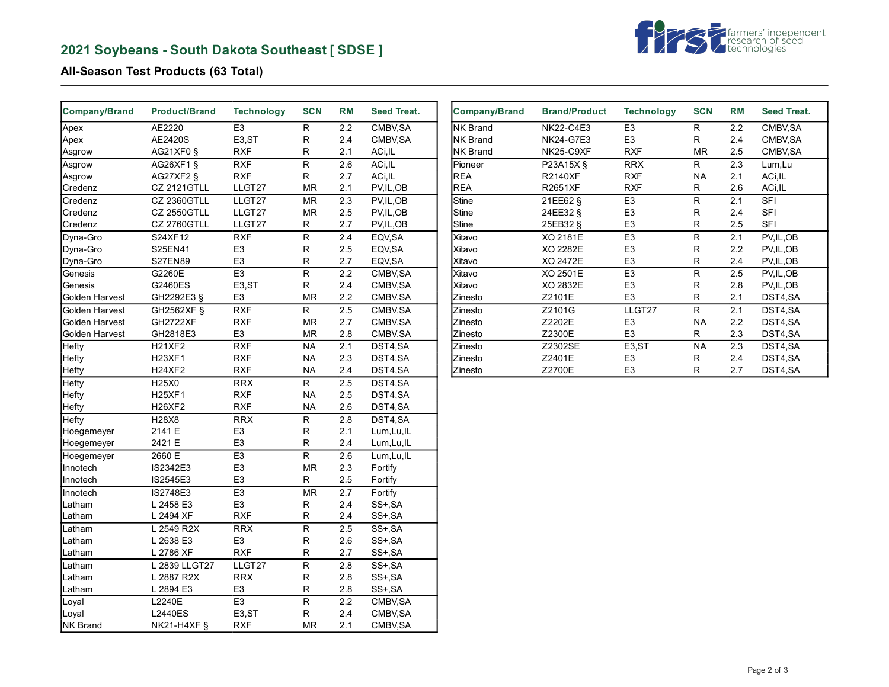# **2021 Soybeans - South Dakota Southeast [ SDSE ]**



## **All-Season Test Products (63 Total)**

| <b>Company/Brand</b> | <b>Product/Brand</b> | <b>Technology</b>  | <b>SCN</b>  | <b>RM</b> | <b>Seed Treat.</b> |
|----------------------|----------------------|--------------------|-------------|-----------|--------------------|
| Apex                 | AE2220               | E <sub>3</sub>     | R           | 2.2       | CMBV.SA            |
| Apex                 | AE2420S              | E <sub>3</sub> ,ST | R           | 2.4       | CMBV, SA           |
| Asgrow               | AG21XF0 §            | <b>RXF</b>         | R           | 2.1       | ACi, IL            |
| Asgrow               | AG26XF1 §            | <b>RXF</b>         | R           | 2.6       | ACi, IL            |
| Asgrow               | AG27XF2 §            | <b>RXF</b>         | R           | 2.7       | ACi, IL            |
| Credenz              | <b>CZ 2121GTLL</b>   | LLGT27             | <b>MR</b>   | 2.1       | PV,IL,OB           |
| Credenz              | CZ 2360GTLL          | LLGT27             | MR          | 2.3       | PV, IL, OB         |
| Credenz              | <b>CZ 2550GTLL</b>   | LLGT27             | <b>MR</b>   | 2.5       | PV,IL,OB           |
| Credenz              | <b>CZ 2760GTLL</b>   | LLGT27             | R           | 2.7       | PV,IL,OB           |
| Dyna-Gro             | S24XF12              | <b>RXF</b>         | R           | 2.4       | EQV, SA            |
| Dyna-Gro             | S25EN41              | E <sub>3</sub>     | R           | 2.5       | EQV, SA            |
| Dyna-Gro             | <b>S27EN89</b>       | E <sub>3</sub>     | R           | 2.7       | EQV, SA            |
| Genesis              | G2260E               | E <sub>3</sub>     | R           | 2.2       | CMBV, SA           |
| Genesis              | G2460ES              | E <sub>3</sub> ,ST | R           | 2.4       | CMBV, SA           |
| Golden Harvest       | GH2292E3 §           | E <sub>3</sub>     | MR          | 2.2       | CMBV, SA           |
| Golden Harvest       | GH2562XF §           | <b>RXF</b>         | R           | 2.5       | CMBV, SA           |
| Golden Harvest       | <b>GH2722XF</b>      | <b>RXF</b>         | <b>MR</b>   | 2.7       | CMBV, SA           |
| Golden Harvest       | GH2818E3             | E <sub>3</sub>     | <b>MR</b>   | 2.8       | CMBV, SA           |
| Hefty                | <b>H21XF2</b>        | <b>RXF</b>         | <b>NA</b>   | 2.1       | DST4,SA            |
| Hefty                | <b>H23XF1</b>        | <b>RXF</b>         | <b>NA</b>   | 2.3       | DST4,SA            |
| Hefty                | <b>H24XF2</b>        | <b>RXF</b>         | <b>NA</b>   | 2.4       | DST4,SA            |
| Hefty                | H25X0                | <b>RRX</b>         | R.          | 2.5       | DST4.SA            |
| Hefty                | <b>H25XF1</b>        | <b>RXF</b>         | <b>NA</b>   | 2.5       | DST4,SA            |
| Hefty                | <b>H26XF2</b>        | <b>RXF</b>         | <b>NA</b>   | 2.6       | DST4,SA            |
| Hefty                | H28X8                | <b>RRX</b>         | R           | 2.8       | DST4,SA            |
| Hoegemeyer           | 2141 E               | E <sub>3</sub>     | R           | 2.1       | Lum, Lu, IL        |
| Hoegemeyer           | 2421 E               | E <sub>3</sub>     | R           | 2.4       | Lum, Lu, IL        |
| Hoegemeyer           | 2660 E               | E <sub>3</sub>     | $\mathsf R$ | 2.6       | Lum, Lu, IL        |
| Innotech             | IS2342E3             | E <sub>3</sub>     | MR          | 2.3       | Fortify            |
| Innotech             | IS2545E3             | E <sub>3</sub>     | R           | 2.5       | Fortify            |
| Innotech             | IS2748E3             | E <sub>3</sub>     | MR          | 2.7       | Fortify            |
| Latham               | L 2458 E3            | E <sub>3</sub>     | $\mathsf R$ | 2.4       | SS+, SA            |
| Latham               | L 2494 XF            | <b>RXF</b>         | R           | 2.4       | SS+,SA             |
| Latham               | L 2549 R2X           | <b>RRX</b>         | R           | 2.5       | SS+, SA            |
| Latham               | L 2638 E3            | E <sub>3</sub>     | $\mathsf R$ | 2.6       | SS+,SA             |
| Latham               | L 2786 XF            | <b>RXF</b>         | R           | 2.7       | SS+, SA            |
| Latham               | L 2839 LLGT27        | LLGT27             | R           | 2.8       | SS+, SA            |
| Latham               | L 2887 R2X           | <b>RRX</b>         | R           | 2.8       | SS+, SA            |
| Latham               | L 2894 E3            | E <sub>3</sub>     | $\mathsf R$ | 2.8       | SS+, SA            |
| Loyal                | L2240E               | E <sub>3</sub>     | R           | 2.2       | CMBV, SA           |
| Loyal                | <b>L2440ES</b>       | E <sub>3</sub> ,ST | R           | 2.4       | CMBV, SA           |
| <b>NK Brand</b>      | NK21-H4XF §          | <b>RXF</b>         | <b>MR</b>   | 2.1       | CMBV, SA           |

| Company/Brand   | <b>Brand/Product</b> | <b>Technology</b>   | <b>SCN</b> | <b>RM</b> | Seed Treat. |
|-----------------|----------------------|---------------------|------------|-----------|-------------|
| <b>NK Brand</b> | <b>NK22-C4E3</b>     | E <sub>3</sub>      | R          | 2.2       | CMBV, SA    |
| <b>NK Brand</b> | NK24-G7E3            | E <sub>3</sub>      | R          | 2.4       | CMBV, SA    |
| <b>NK Brand</b> | NK25-C9XF            | <b>RXF</b>          | <b>MR</b>  | 2.5       | CMBV, SA    |
| Pioneer         | P23A15X §            | <b>RRX</b>          | R          | 2.3       | Lum, Lu     |
| <b>REA</b>      | <b>R2140XF</b>       | <b>RXF</b>          | NA.        | 2.1       | ACi, IL     |
| <b>REA</b>      | R2651XF              | <b>RXF</b>          | R          | 2.6       | ACi, IL     |
| <b>Stine</b>    | 21EE62 §             | E <sub>3</sub>      | R          | 2.1       | <b>SFI</b>  |
| Stine           | 24EE32 §             | E <sub>3</sub>      | R          | 2.4       | <b>SFI</b>  |
| Stine           | 25EB32 §             | E <sub>3</sub>      | R          | 2.5       | <b>SFI</b>  |
| Xitavo          | XO 2181E             | E <sub>3</sub>      | R          | 2.1       | PV, IL, OB  |
| Xitavo          | XO 2282E             | E <sub>3</sub>      | R          | 2.2       | PV, IL, OB  |
| Xitavo          | XO 2472E             | E3                  | R          | 2.4       | PV, IL, OB  |
| Xitavo          | XO 2501E             | E <sub>3</sub>      | R          | 2.5       | PV, IL, OB  |
| Xitavo          | XO 2832E             | E <sub>3</sub>      | R          | 2.8       | PV, IL, OB  |
| Zinesto         | Z2101E               | E3                  | R          | 2.1       | DST4,SA     |
| Zinesto         | Z2101G               | LLGT27              | R          | 2.1       | DST4,SA     |
| Zinesto         | Z2202E               | E <sub>3</sub>      | NA.        | 2.2       | DST4,SA     |
| Zinesto         | Z2300E               | E <sub>3</sub>      | R          | 2.3       | DST4,SA     |
| Zinesto         | Z2302SE              | E <sub>3</sub> , ST | NA.        | 2.3       | DST4,SA     |
| Zinesto         | Z2401E               | E <sub>3</sub>      | R          | 2.4       | DST4,SA     |
| Zinesto         | Z2700E               | E <sub>3</sub>      | R          | 2.7       | DST4,SA     |